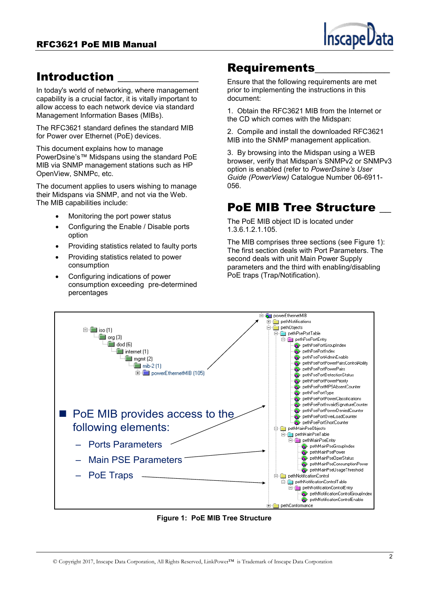

## Introduction \_\_\_\_\_\_\_\_\_\_\_\_\_\_

In today's world of networking, where management capability is a crucial factor, it is vitally important to allow access to each network device via standard Management Information Bases (MIBs).

The RFC3621 standard defines the standard MIB for Power over Ethernet (PoE) devices.

This document explains how to manage PowerDsine's™ Midspans using the standard PoE MIB via SNMP management stations such as HP OpenView, SNMPc, etc.

The document applies to users wishing to manage their Midspans via SNMP, and not via the Web. The MIB capabilities include:

- Monitoring the port power status
- Configuring the Enable / Disable ports option
- Providing statistics related to faulty ports
- Providing statistics related to power consumption
- Configuring indications of power consumption exceeding pre-determined percentages

## **Requirements**

Ensure that the following requirements are met prior to implementing the instructions in this document:

1. Obtain the RFC3621 MIB from the Internet or the CD which comes with the Midspan:

2. Compile and install the downloaded RFC3621 MIB into the SNMP management application.

3. By browsing into the Midspan using a WEB browser, verify that Midspan's SNMPv2 or SNMPv3 option is enabled (refer to *PowerDsine's User Guide (PowerView)* Catalogue Number 06-6911- 056.

## PoE MIB Tree Structure

The PoE MIB object ID is located under 1.3.6.1.2.1.105.

The MIB comprises three sections (see [Figure 1\)](#page-0-0): The first section deals with Port Parameters. The second deals with unit Main Power Supply parameters and the third with enabling/disabling PoE traps (Trap/Notification).



<span id="page-0-0"></span>**Figure 1: PoE MIB Tree Structure**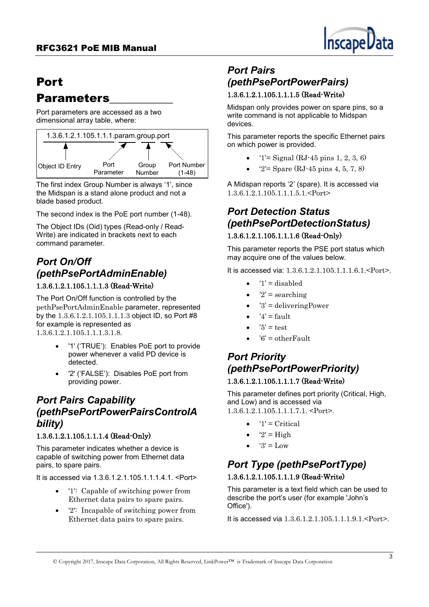

# Port

## Parameters\_\_\_\_\_\_\_\_\_\_\_

Port parameters are accessed as a two dimensional array table, where:



The first index Group Number is always '1', since the Midspan is a stand alone product and not a blade based product.

The second index is the PoE port number (1-48).

The Object IDs (Oid) types (Read-only / Read-Write) are indicated in brackets next to each command parameter.

## *Port On/Off (pethPsePortAdminEnable)*

#### 1.3.6.1.2.1.105.1.1.1.3 (Read-Write)

The Port On/Off function is controlled by the pethPsePortAdminEnable parameter, represented by the 1.3.6.1.2.1.105.1.1.1.3 object ID, so Port #8 for example is represented as

1.3.6.1.2.1.105.1.1.1.3.1.8.

- '1' ('TRUE'): Enables PoE port to provide power whenever a valid PD device is detected.
- '2' ('FALSE'): Disables PoE port from providing power.

### *Port Pairs Capability (pethPsePortPowerPairsControlA bility)*

#### 1.3.6.1.2.1.105.1.1.1.4 (Read-Only)

This parameter indicates whether a device is capable of switching power from Ethernet data pairs, to spare pairs.

It is accessed via 1.3.6.1.2.1.105.1.1.1.4.1. <Port>

- '1': Capable of switching power from Ethernet data pairs to spare pairs.
- '2': Incapable of switching power from Ethernet data pairs to spare pairs.

## *Port Pairs (pethPsePortPowerPairs)*

#### 1.3.6.1.2.1.105.1.1.1.5 (Read-Write)

Midspan only provides power on spare pins, so a write command is not applicable to Midspan devices.

This parameter reports the specific Ethernet pairs on which power is provided.

- $i =$  Signal (RJ-45 pins 1, 2, 3, 6)
- $2 =$  Spare (RJ-45 pins 4, 5, 7, 8)

A Midspan reports '2' (spare). It is accessed via 1.3.6.1.2.1.105.1.1.1.5.1.<Port>

## *Port Detection Status (pethPsePortDetectionStatus)*

#### 1.3.6.1.2.1.105.1.1.1.6 (Read-Only)

This parameter reports the PSE port status which may acquire one of the values below.

It is accessed via: 1.3.6.1.2.1.105.1.1.1.6.1.<Port>.

- $'1' =$ disabled
- ' $2'$  = searching
- $3' =$  delivering Power
- $'4'$  = fault
- $5'$  = test
- ${}^{\prime}6'$  = otherFault

## *Port Priority (pethPsePortPowerPriority)*

#### 1.3.6.1.2.1.105.1.1.1.7 (Read-Write)

This parameter defines port priority (Critical, High, and Low) and is accessed via 1.3.6.1.2.1.105.1.1.1.7.1. <Port>.

- $'1'$  = Critical
- $'2'$  = High
- $'3' = Low$

## *Port Type (pethPsePortType)*

#### 1.3.6.1.2.1.105.1.1.1.9 (Read-Write)

This parameter is a text field which can be used to describe the port's user (for example 'John's Office').

It is accessed via 1.3.6.1.2.1.105.1.1.1.9.1.<Port>.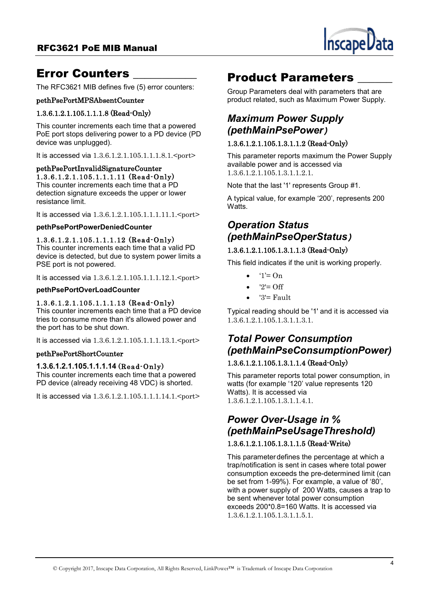

## **Error Counters**

The RFC3621 MIB defines five (5) error counters:

#### pethPsePortMPSAbsentCounter

#### 1.3.6.1.2.1.105.1.1.1.8 (Read-Only)

This counter increments each time that a powered PoE port stops delivering power to a PD device (PD device was unplugged).

It is accessed via 1.3.6.1.2.1.105.1.1.1.8.1.<port>

#### pethPsePortInvalidSignatureCounter 1.3.6.1.2.1.105.1.1.1.11 (Read-Only)

This counter increments each time that a PD detection signature exceeds the upper or lower resistance limit.

It is accessed via 1.3.6.1.2.1.105.1.1.1.1.1.1.<br/>port>

#### **pethPsePortPowerDeniedCounter**

#### 1.3.6.1.2.1.105.1.1.1.12 (Read-Only)

This counter increments each time that a valid PD device is detected, but due to system power limits a PSE port is not powered.

It is accessed via 1.3.6.1.2.1.105.1.1.1.12.1.<port>

#### **pethPsePortOverLoadCounter**

#### 1.3.6.1.2.1.105.1.1.1.13 (Read-Only)

This counter increments each time that a PD device tries to consume more than it's allowed power and the port has to be shut down.

It is accessed via 1.3.6.1.2.1.105.1.1.1.13.1.<port>

#### pethPsePortShortCounter

#### **1.3.6.1.2.1.105.1.1.1.14** (Read-Only)

This counter increments each time that a powered PD device (already receiving 48 VDC) is shorted.

It is accessed via 1.3.6.1.2.1.105.1.1.1.14.1.<port>

## Product Parameters \_\_\_\_\_\_

Group Parameters deal with parameters that are product related, such as Maximum Power Supply.

### *Maximum Power Supply (pethMainPsePower)*

#### 1.3.6.1.2.1.105.1.3.1.1.2 (Read-Only)

This parameter reports maximum the Power Supply available power and is accessed via 1.3.6.1.2.1.105.1.3.1.1.2.1.

Note that the last '1' represents Group #1.

A typical value, for example '200', represents 200 Watts.

### *Operation Status (pethMainPseOperStatus)*

#### 1.3.6.1.2.1.105.1.3.1.1.3 (Read-Only)

This field indicates if the unit is working properly.

- $'1' = On$
- $'2' = \text{Off}$
- '3'= Fault

Typical reading should be '1' and it is accessed via 1.3.6.1.2.1.105.1.3.1.1.3.1.

### *Total Power Consumption (pethMainPseConsumptionPower)* 1.3.6.1.2.1.105.1.3.1.1.4 (Read-Only)

This parameter reports total power consumption, in watts (for example '120' value represents 120 Watts). It is accessed via 1.3.6.1.2.1.105.1.3.1.1.4.1.

### *Power Over-Usage in % (pethMainPseUsageThreshold)* 1.3.6.1.2.1.105.1.3.1.1.5 (Read-Write)

This parameter defines the percentage at which a trap/notification is sent in cases where total power consumption exceeds the pre-determined limit (can be set from 1-99%). For example, a value of '80', with a power supply of 200 Watts, causes a trap to be sent whenever total power consumption exceeds 200\*0.8=160 Watts. It is accessed via 1.3.6.1.2.1.105.1.3.1.1.5.1.